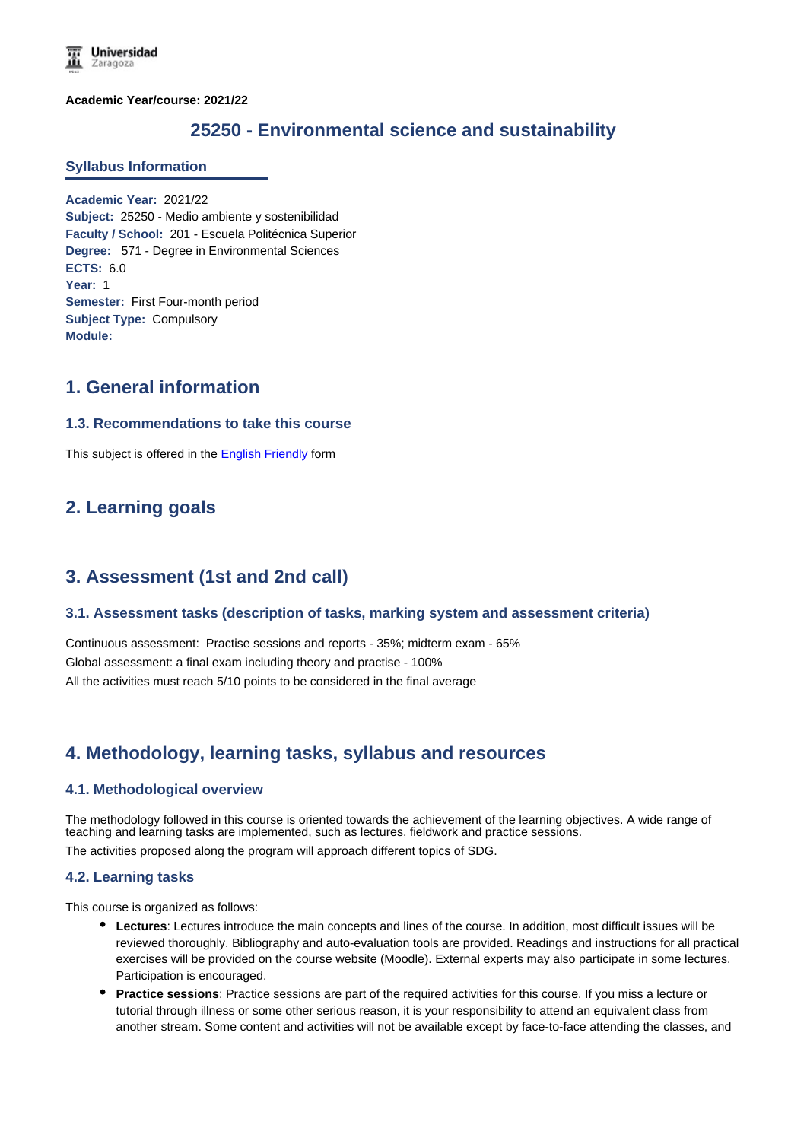**Academic Year/course: 2021/22**

# **25250 - Environmental science and sustainability**

#### **Syllabus Information**

**Academic Year:** 2021/22 **Subject:** 25250 - Medio ambiente y sostenibilidad **Faculty / School:** 201 - Escuela Politécnica Superior **Degree:** 571 - Degree in Environmental Sciences **ECTS:** 6.0 **Year:** 1 **Semester:** First Four-month period **Subject Type:** Compulsory **Module:**

### **1. General information**

### **1.3. Recommendations to take this course**

This subject is offered in the English Friendly form

# **2. Learning goals**

### **3. Assessment (1st and 2nd call)**

### **3.1. Assessment tasks (description of tasks, marking system and assessment criteria)**

Continuous assessment: Practise sessions and reports - 35%; midterm exam - 65% Global assessment: a final exam including theory and practise - 100% All the activities must reach 5/10 points to be considered in the final average

# **4. Methodology, learning tasks, syllabus and resources**

### **4.1. Methodological overview**

The methodology followed in this course is oriented towards the achievement of the learning objectives. A wide range of teaching and learning tasks are implemented, such as lectures, fieldwork and practice sessions.

The activities proposed along the program will approach different topics of SDG.

#### **4.2. Learning tasks**

This course is organized as follows:

- **Lectures**: Lectures introduce the main concepts and lines of the course. In addition, most difficult issues will be reviewed thoroughly. Bibliography and auto-evaluation tools are provided. Readings and instructions for all practical exercises will be provided on the course website (Moodle). External experts may also participate in some lectures. Participation is encouraged.
- **Practice sessions**: Practice sessions are part of the required activities for this course. If you miss a lecture or tutorial through illness or some other serious reason, it is your responsibility to attend an equivalent class from another stream. Some content and activities will not be available except by face-to-face attending the classes, and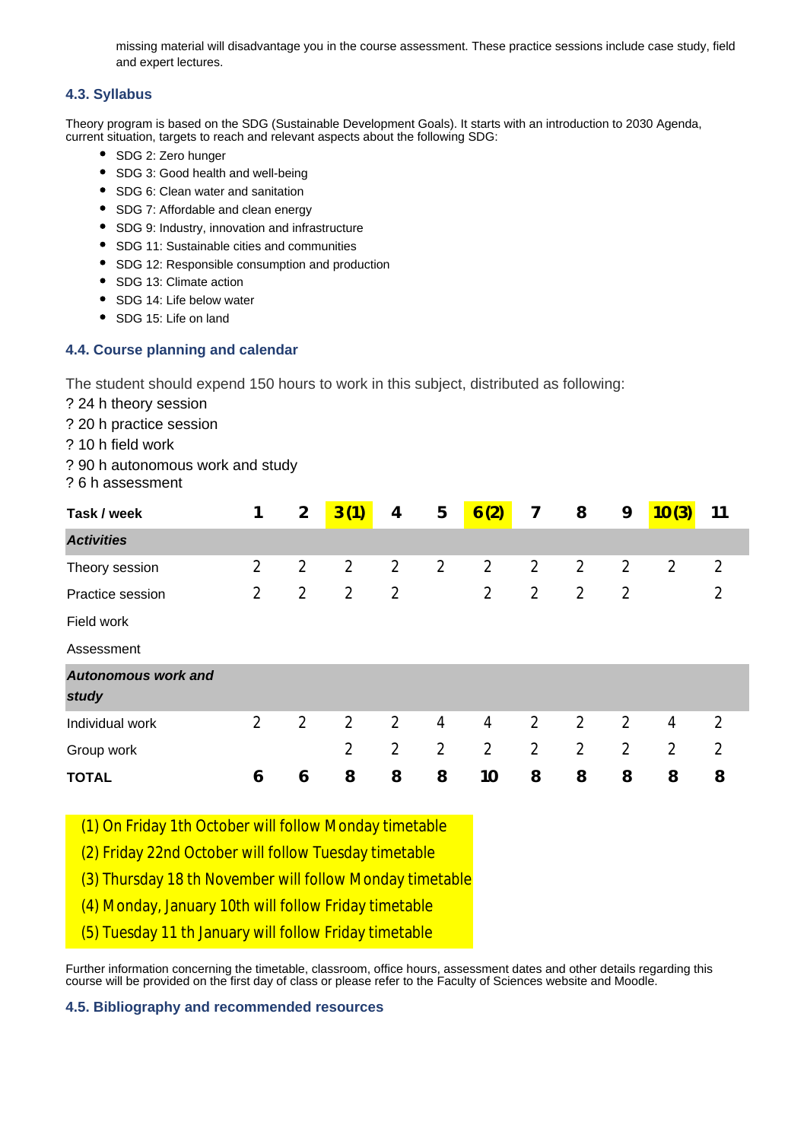missing material will disadvantage you in the course assessment. These practice sessions include case study, field and expert lectures.

### **4.3. Syllabus**

Theory program is based on the SDG (Sustainable Development Goals). It starts with an introduction to 2030 Agenda, current situation, targets to reach and relevant aspects about the following SDG:

- SDG 2: Zero hunger
- SDG 3: Good health and well-being
- SDG 6: Clean water and sanitation
- SDG 7: Affordable and clean energy
- SDG 9: Industry, innovation and infrastructure
- SDG 11: Sustainable cities and communities
- SDG 12: Responsible consumption and production
- SDG 13: Climate action
- SDG 14: Life below water
- SDG 15: Life on land

### **4.4. Course planning and calendar**

The student should expend 150 hours to work in this subject, distributed as following:

- ? 24 h theory session
- ? 20 h practice session
- ? 10 h field work
- ? 90 h autonomous work and study
- ? 6 h assessment

| Task / week                | 1              | $\overline{2}$ | 3(1)           | 4              | 5              | 6(2)           | $\overline{7}$ | 8              | 9              | 10(3)          | 11             |
|----------------------------|----------------|----------------|----------------|----------------|----------------|----------------|----------------|----------------|----------------|----------------|----------------|
| <b>Activities</b>          |                |                |                |                |                |                |                |                |                |                |                |
| Theory session             | $\overline{2}$ | $\overline{2}$ | $\overline{2}$ | $\overline{2}$ | $\overline{2}$ | $\overline{2}$ | $\overline{2}$ | $\overline{2}$ | $\overline{2}$ | $\overline{2}$ | 2              |
| Practice session           | 2              | $\overline{2}$ | 2              | $\overline{2}$ |                | 2              | $\overline{2}$ | 2              | $\overline{2}$ |                | 2              |
| Field work                 |                |                |                |                |                |                |                |                |                |                |                |
| Assessment                 |                |                |                |                |                |                |                |                |                |                |                |
| <b>Autonomous work and</b> |                |                |                |                |                |                |                |                |                |                |                |
| study                      |                |                |                |                |                |                |                |                |                |                |                |
| Individual work            | $\overline{2}$ | $\overline{2}$ | $\overline{2}$ | $\overline{2}$ | 4              | 4              | 2              | 2              | 2              | 4              | 2              |
| Group work                 |                |                | $\overline{2}$ | $\overline{2}$ | $\overline{2}$ | 2              | $\overline{2}$ | $\overline{2}$ | $\overline{2}$ | $\overline{2}$ | $\overline{2}$ |
| <b>TOTAL</b>               | 6              | 6              | 8              | 8              | 8              | 10             | 8              | 8              | 8              | 8              | 8              |

(1) On Friday 1th October will follow Monday timetable

(2) Friday 22nd October will follow Tuesday timetable

(3) Thursday 18 th November will follow Monday timetable

(4) Monday, January 10th will follow Friday timetable

(5) Tuesday 11 th January will follow Friday timetable

Further information concerning the timetable, classroom, office hours, assessment dates and other details regarding this course will be provided on the first day of class or please refer to the Faculty of Sciences website and Moodle.

### **4.5. Bibliography and recommended resources**